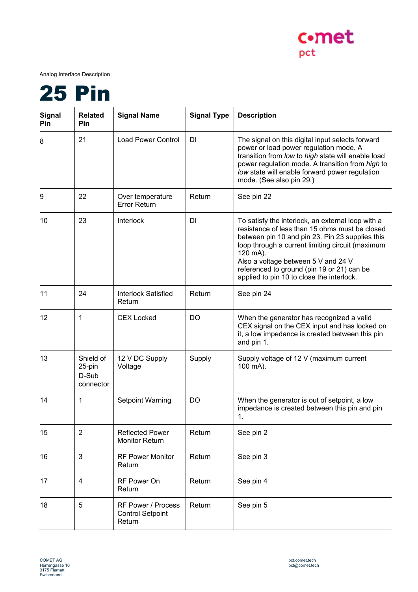

Analog Interface Description



| <b>Signal</b><br>Pin | <b>Related</b><br><b>Pin</b>              | <b>Signal Name</b>                                             | <b>Signal Type</b> | <b>Description</b>                                                                                                                                                                                                                                                                                                                                       |
|----------------------|-------------------------------------------|----------------------------------------------------------------|--------------------|----------------------------------------------------------------------------------------------------------------------------------------------------------------------------------------------------------------------------------------------------------------------------------------------------------------------------------------------------------|
| 8                    | 21                                        | <b>Load Power Control</b>                                      | DI                 | The signal on this digital input selects forward<br>power or load power regulation mode. A<br>transition from low to high state will enable load<br>power regulation mode. A transition from high to<br>low state will enable forward power regulation<br>mode. (See also pin 29.)                                                                       |
| 9                    | 22                                        | Over temperature<br><b>Error Return</b>                        | Return             | See pin 22                                                                                                                                                                                                                                                                                                                                               |
| 10                   | 23                                        | Interlock                                                      | DI                 | To satisfy the interlock, an external loop with a<br>resistance of less than 15 ohms must be closed<br>between pin 10 and pin 23. Pin 23 supplies this<br>loop through a current limiting circuit (maximum<br>120 mA).<br>Also a voltage between 5 V and 24 V<br>referenced to ground (pin 19 or 21) can be<br>applied to pin 10 to close the interlock. |
| 11                   | 24                                        | <b>Interlock Satisfied</b><br>Return                           | Return             | See pin 24                                                                                                                                                                                                                                                                                                                                               |
| 12                   | 1                                         | <b>CEX Locked</b>                                              | <b>DO</b>          | When the generator has recognized a valid<br>CEX signal on the CEX input and has locked on<br>it, a low impedance is created between this pin<br>and pin 1.                                                                                                                                                                                              |
| 13                   | Shield of<br>25-pin<br>D-Sub<br>connector | 12 V DC Supply<br>Voltage                                      | Supply             | Supply voltage of 12 V (maximum current<br>100 mA).                                                                                                                                                                                                                                                                                                      |
| 14                   | 1                                         | <b>Setpoint Warning</b>                                        | DO                 | When the generator is out of setpoint, a low<br>impedance is created between this pin and pin<br>1.                                                                                                                                                                                                                                                      |
| 15                   | $\overline{2}$                            | <b>Reflected Power</b><br><b>Monitor Return</b>                | Return             | See pin 2                                                                                                                                                                                                                                                                                                                                                |
| 16                   | 3                                         | <b>RF Power Monitor</b><br>Return                              | Return             | See pin 3                                                                                                                                                                                                                                                                                                                                                |
| 17                   | $\overline{\mathbf{4}}$                   | RF Power On<br>Return                                          | Return             | See pin 4                                                                                                                                                                                                                                                                                                                                                |
| 18                   | 5                                         | <b>RF Power / Process</b><br><b>Control Setpoint</b><br>Return | Return             | See pin 5                                                                                                                                                                                                                                                                                                                                                |